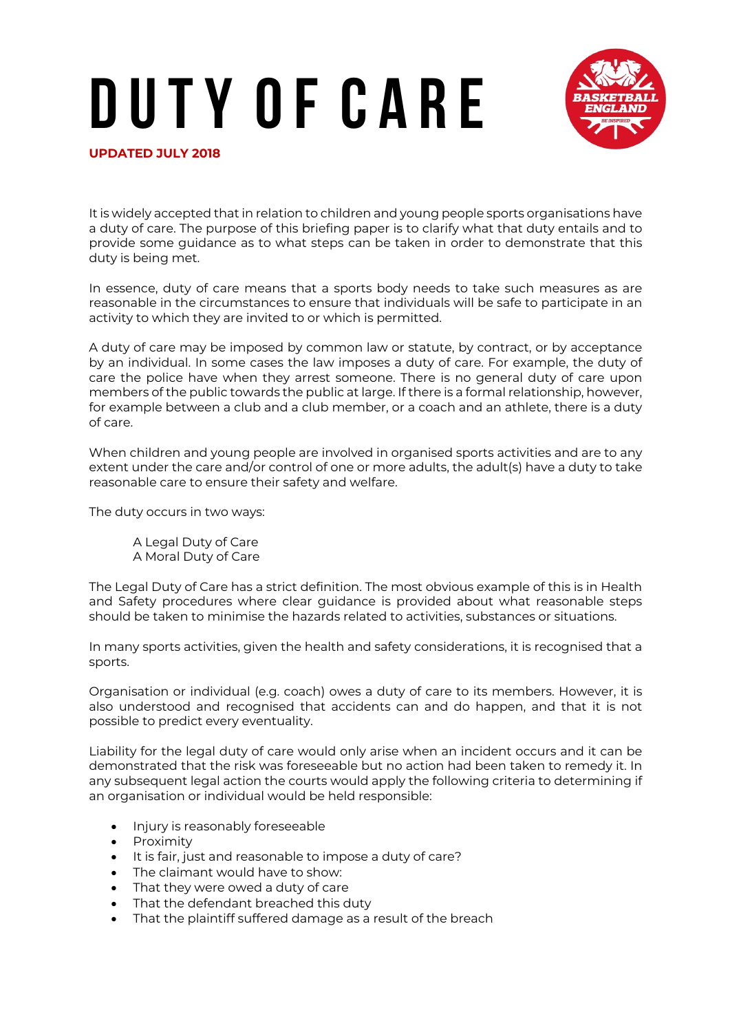## **D u t y o f C a r e**



**UPDATED JULY 2018** 

It is widely accepted that in relation to children and young people sports organisations have a duty of care. The purpose of this briefing paper is to clarify what that duty entails and to provide some guidance as to what steps can be taken in order to demonstrate that this duty is being met.

In essence, duty of care means that a sports body needs to take such measures as are reasonable in the circumstances to ensure that individuals will be safe to participate in an activity to which they are invited to or which is permitted.

A duty of care may be imposed by common law or statute, by contract, or by acceptance by an individual. In some cases the law imposes a duty of care. For example, the duty of care the police have when they arrest someone. There is no general duty of care upon members of the public towards the public at large. If there is a formal relationship, however, for example between a club and a club member, or a coach and an athlete, there is a duty of care.

When children and young people are involved in organised sports activities and are to any extent under the care and/or control of one or more adults, the adult(s) have a duty to take reasonable care to ensure their safety and welfare.

The duty occurs in two ways:

A Legal Duty of Care A Moral Duty of Care

The Legal Duty of Care has a strict definition. The most obvious example of this is in Health and Safety procedures where clear guidance is provided about what reasonable steps should be taken to minimise the hazards related to activities, substances or situations.

In many sports activities, given the health and safety considerations, it is recognised that a sports.

Organisation or individual (e.g. coach) owes a duty of care to its members. However, it is also understood and recognised that accidents can and do happen, and that it is not possible to predict every eventuality.

Liability for the legal duty of care would only arise when an incident occurs and it can be demonstrated that the risk was foreseeable but no action had been taken to remedy it. In any subsequent legal action the courts would apply the following criteria to determining if an organisation or individual would be held responsible:

- Injury is reasonably foreseeable
- Proximity
- It is fair, just and reasonable to impose a duty of care?
- The claimant would have to show:
- That they were owed a duty of care
- That the defendant breached this duty
- That the plaintiff suffered damage as a result of the breach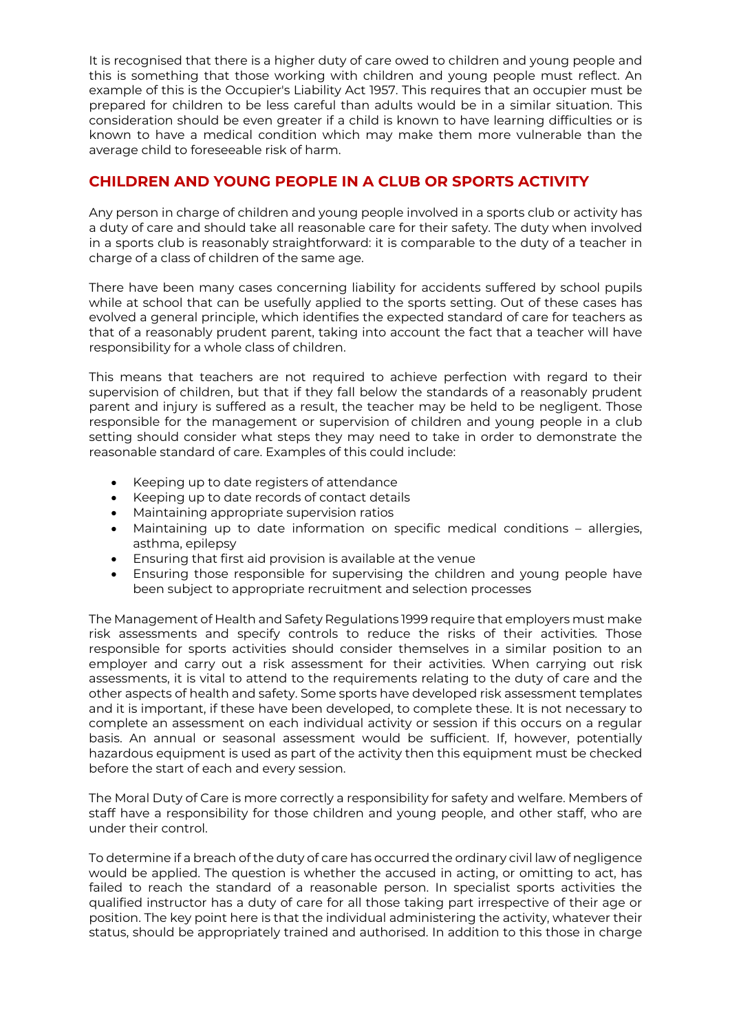It is recognised that there is a higher duty of care owed to children and young people and this is something that those working with children and young people must reflect. An example of this is the Occupier's Liability Act 1957. This requires that an occupier must be prepared for children to be less careful than adults would be in a similar situation. This consideration should be even greater if a child is known to have learning difficulties or is known to have a medical condition which may make them more vulnerable than the average child to foreseeable risk of harm.

## **CHILDREN AND YOUNG PEOPLE IN A CLUB OR SPORTS ACTIVITY**

Any person in charge of children and young people involved in a sports club or activity has a duty of care and should take all reasonable care for their safety. The duty when involved in a sports club is reasonably straightforward: it is comparable to the duty of a teacher in charge of a class of children of the same age.

There have been many cases concerning liability for accidents suffered by school pupils while at school that can be usefully applied to the sports setting. Out of these cases has evolved a general principle, which identifies the expected standard of care for teachers as that of a reasonably prudent parent, taking into account the fact that a teacher will have responsibility for a whole class of children.

This means that teachers are not required to achieve perfection with regard to their supervision of children, but that if they fall below the standards of a reasonably prudent parent and injury is suffered as a result, the teacher may be held to be negligent. Those responsible for the management or supervision of children and young people in a club setting should consider what steps they may need to take in order to demonstrate the reasonable standard of care. Examples of this could include:

- Keeping up to date registers of attendance
- Keeping up to date records of contact details
- Maintaining appropriate supervision ratios
- Maintaining up to date information on specific medical conditions allergies, asthma, epilepsy
- Ensuring that first aid provision is available at the venue
- Ensuring those responsible for supervising the children and young people have been subject to appropriate recruitment and selection processes

The Management of Health and Safety Regulations 1999 require that employers must make risk assessments and specify controls to reduce the risks of their activities. Those responsible for sports activities should consider themselves in a similar position to an employer and carry out a risk assessment for their activities. When carrying out risk assessments, it is vital to attend to the requirements relating to the duty of care and the other aspects of health and safety. Some sports have developed risk assessment templates and it is important, if these have been developed, to complete these. It is not necessary to complete an assessment on each individual activity or session if this occurs on a regular basis. An annual or seasonal assessment would be sufficient. If, however, potentially hazardous equipment is used as part of the activity then this equipment must be checked before the start of each and every session.

The Moral Duty of Care is more correctly a responsibility for safety and welfare. Members of staff have a responsibility for those children and young people, and other staff, who are under their control.

To determine if a breach of the duty of care has occurred the ordinary civil law of negligence would be applied. The question is whether the accused in acting, or omitting to act, has failed to reach the standard of a reasonable person. In specialist sports activities the qualified instructor has a duty of care for all those taking part irrespective of their age or position. The key point here is that the individual administering the activity, whatever their status, should be appropriately trained and authorised. In addition to this those in charge